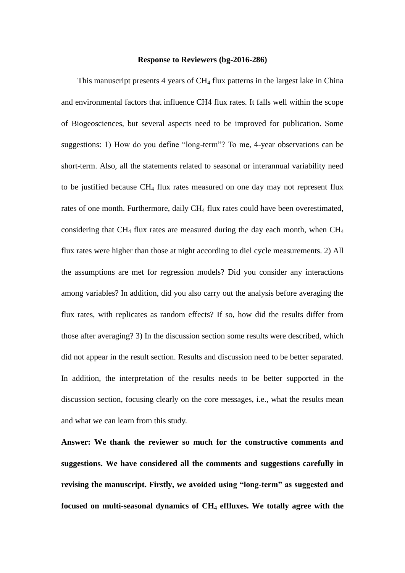#### **Response to Reviewers (bg-2016-286)**

This manuscript presents 4 years of CH<sub>4</sub> flux patterns in the largest lake in China and environmental factors that influence CH4 flux rates. It falls well within the scope of Biogeosciences, but several aspects need to be improved for publication. Some suggestions: 1) How do you define "long-term"? To me, 4-year observations can be short-term. Also, all the statements related to seasonal or interannual variability need to be justified because CH<sup>4</sup> flux rates measured on one day may not represent flux rates of one month. Furthermore, daily CH<sub>4</sub> flux rates could have been overestimated, considering that  $CH_4$  flux rates are measured during the day each month, when  $CH_4$ flux rates were higher than those at night according to diel cycle measurements. 2) All the assumptions are met for regression models? Did you consider any interactions among variables? In addition, did you also carry out the analysis before averaging the flux rates, with replicates as random effects? If so, how did the results differ from those after averaging? 3) In the discussion section some results were described, which did not appear in the result section. Results and discussion need to be better separated. In addition, the interpretation of the results needs to be better supported in the discussion section, focusing clearly on the core messages, i.e., what the results mean and what we can learn from this study.

**Answer: We thank the reviewer so much for the constructive comments and suggestions. We have considered all the comments and suggestions carefully in revising the manuscript. Firstly, we avoided using "long-term" as suggested and focused on multi-seasonal dynamics of CH<sup>4</sup> effluxes. We totally agree with the**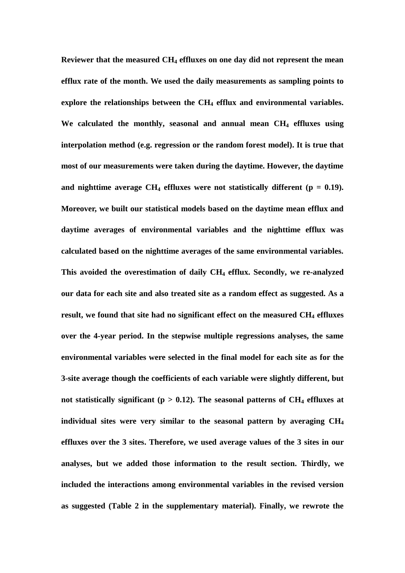**Reviewer that the measured CH<sup>4</sup> effluxes on one day did not represent the mean efflux rate of the month. We used the daily measurements as sampling points to explore the relationships between the CH<sup>4</sup> efflux and environmental variables. We calculated the monthly, seasonal and annual mean CH<sup>4</sup> effluxes using interpolation method (e.g. regression or the random forest model). It is true that most of our measurements were taken during the daytime. However, the daytime**  and nighttime average  $CH_4$  effluxes were not statistically different ( $p = 0.19$ ). **Moreover, we built our statistical models based on the daytime mean efflux and daytime averages of environmental variables and the nighttime efflux was calculated based on the nighttime averages of the same environmental variables. This avoided the overestimation of daily CH<sup>4</sup> efflux. Secondly, we re-analyzed our data for each site and also treated site as a random effect as suggested. As a result, we found that site had no significant effect on the measured CH<sup>4</sup> effluxes over the 4-year period. In the stepwise multiple regressions analyses, the same environmental variables were selected in the final model for each site as for the 3-site average though the coefficients of each variable were slightly different, but**  not statistically significant ( $p > 0.12$ ). The seasonal patterns of  $CH_4$  effluxes at **individual sites were very similar to the seasonal pattern by averaging CH<sup>4</sup> effluxes over the 3 sites. Therefore, we used average values of the 3 sites in our analyses, but we added those information to the result section. Thirdly, we included the interactions among environmental variables in the revised version as suggested (Table 2 in the supplementary material). Finally, we rewrote the**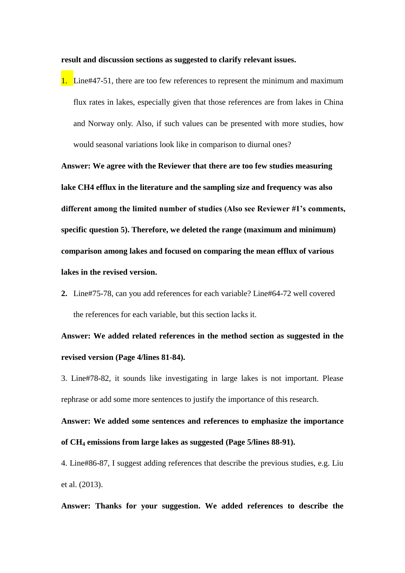**result and discussion sections as suggested to clarify relevant issues.**

1. Line#47-51, there are too few references to represent the minimum and maximum flux rates in lakes, especially given that those references are from lakes in China and Norway only. Also, if such values can be presented with more studies, how would seasonal variations look like in comparison to diurnal ones?

**Answer: We agree with the Reviewer that there are too few studies measuring lake CH4 efflux in the literature and the sampling size and frequency was also different among the limited number of studies (Also see Reviewer #1's comments, specific question 5). Therefore, we deleted the range (maximum and minimum) comparison among lakes and focused on comparing the mean efflux of various lakes in the revised version.** 

**2.** Line#75-78, can you add references for each variable? Line#64-72 well covered the references for each variable, but this section lacks it.

**Answer: We added related references in the method section as suggested in the revised version (Page 4/lines 81-84).**

3. Line#78-82, it sounds like investigating in large lakes is not important. Please rephrase or add some more sentences to justify the importance of this research.

**Answer: We added some sentences and references to emphasize the importance of CH<sup>4</sup> emissions from large lakes as suggested (Page 5/lines 88-91).**

4. Line#86-87, I suggest adding references that describe the previous studies, e.g. Liu et al. (2013).

**Answer: Thanks for your suggestion. We added references to describe the**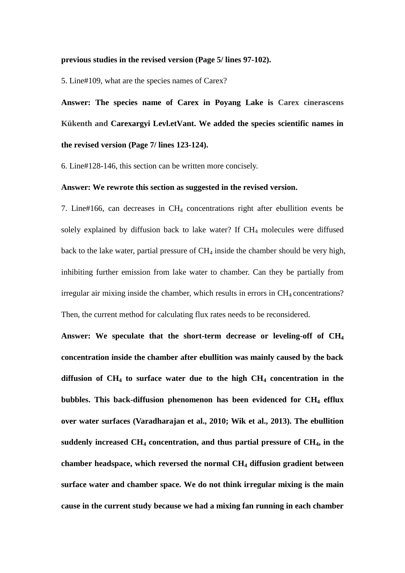#### **previous studies in the revised version (Page 5/ lines 97-102).**

5. Line#109, what are the species names of Carex?

**Answer: The species name of Carex in Poyang Lake is Carex cinerascens Kükenth and Carexargyi Levl.etVant. We added the species scientific names in the revised version (Page 7/ lines 123-124).**

6. Line#128-146, this section can be written more concisely.

#### **Answer: We rewrote this section as suggested in the revised version.**

7. Line#166, can decreases in CH<sup>4</sup> concentrations right after ebullition events be solely explained by diffusion back to lake water? If  $CH<sub>4</sub>$  molecules were diffused back to the lake water, partial pressure of  $CH<sub>4</sub>$  inside the chamber should be very high, inhibiting further emission from lake water to chamber. Can they be partially from  $i$ irregular air mixing inside the chamber, which results in errors in  $CH_4$  concentrations? Then, the current method for calculating flux rates needs to be reconsidered.

**Answer: We speculate that the short-term decrease or leveling-off of CH<sup>4</sup> concentration inside the chamber after ebullition was mainly caused by the back diffusion of CH<sup>4</sup> to surface water due to the high CH<sup>4</sup> concentration in the bubbles. This back-diffusion phenomenon has been evidenced for CH<sup>4</sup> efflux over water surfaces (Varadharajan et al., 2010; Wik et al., 2013). The ebullition suddenly increased CH<sup>4</sup> concentration, and thus partial pressure of CH4, in the chamber headspace, which reversed the normal CH<sup>4</sup> diffusion gradient between surface water and chamber space. We do not think irregular mixing is the main cause in the current study because we had a mixing fan running in each chamber**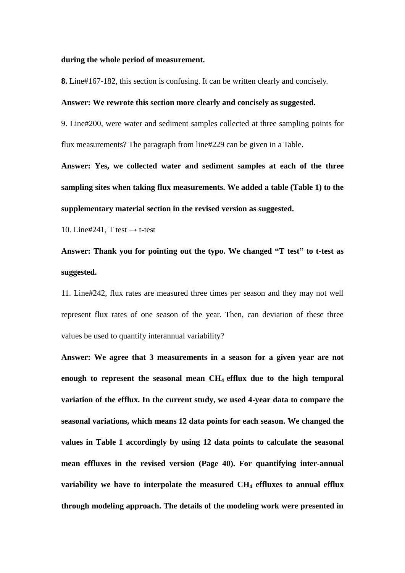#### **during the whole period of measurement.**

**8.** Line#167-182, this section is confusing. It can be written clearly and concisely.

#### **Answer: We rewrote this section more clearly and concisely as suggested.**

9. Line#200, were water and sediment samples collected at three sampling points for flux measurements? The paragraph from line#229 can be given in a Table.

**Answer: Yes, we collected water and sediment samples at each of the three sampling sites when taking flux measurements. We added a table (Table 1) to the supplementary material section in the revised version as suggested.**

10. Line#241, T test *→* t-test

## **Answer: Thank you for pointing out the typo. We changed "T test" to t-test as suggested.**

11. Line#242, flux rates are measured three times per season and they may not well represent flux rates of one season of the year. Then, can deviation of these three values be used to quantify interannual variability?

**Answer: We agree that 3 measurements in a season for a given year are not enough to represent the seasonal mean CH4 efflux due to the high temporal variation of the efflux. In the current study, we used 4-year data to compare the seasonal variations, which means 12 data points for each season. We changed the values in Table 1 accordingly by using 12 data points to calculate the seasonal mean effluxes in the revised version (Page 40). For quantifying inter-annual variability we have to interpolate the measured CH<sup>4</sup> effluxes to annual efflux through modeling approach. The details of the modeling work were presented in**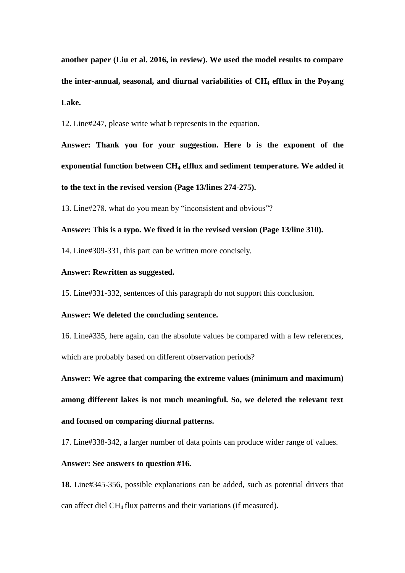**another paper (Liu et al. 2016, in review). We used the model results to compare the inter-annual, seasonal, and diurnal variabilities of CH<sup>4</sup> efflux in the Poyang Lake.**

12. Line#247, please write what b represents in the equation.

**Answer: Thank you for your suggestion. Here b is the exponent of the exponential function between CH<sup>4</sup> efflux and sediment temperature. We added it to the text in the revised version (Page 13/lines 274-275).**

13. Line#278, what do you mean by "inconsistent and obvious"?

#### **Answer: This is a typo. We fixed it in the revised version (Page 13/line 310).**

14. Line#309-331, this part can be written more concisely.

#### **Answer: Rewritten as suggested.**

15. Line#331-332, sentences of this paragraph do not support this conclusion.

#### **Answer: We deleted the concluding sentence.**

16. Line#335, here again, can the absolute values be compared with a few references, which are probably based on different observation periods?

**Answer: We agree that comparing the extreme values (minimum and maximum) among different lakes is not much meaningful. So, we deleted the relevant text and focused on comparing diurnal patterns.** 

17. Line#338-342, a larger number of data points can produce wider range of values.

#### **Answer: See answers to question #16.**

**18.** Line#345-356, possible explanations can be added, such as potential drivers that can affect diel CH4 flux patterns and their variations (if measured).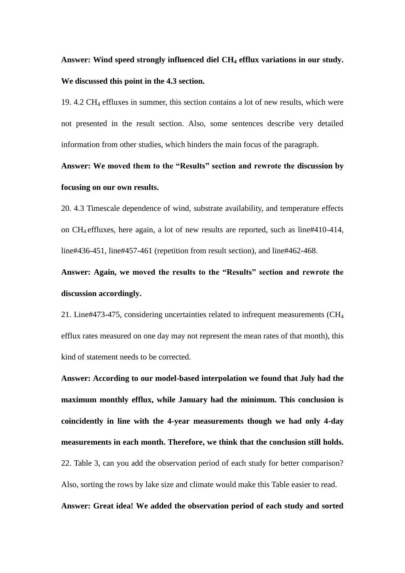## **Answer: Wind speed strongly influenced diel CH<sup>4</sup> efflux variations in our study. We discussed this point in the 4.3 section.**

19. 4.2 CH<sup>4</sup> effluxes in summer, this section contains a lot of new results, which were not presented in the result section. Also, some sentences describe very detailed information from other studies, which hinders the main focus of the paragraph.

## **Answer: We moved them to the "Results" section and rewrote the discussion by focusing on our own results.**

20. 4.3 Timescale dependence of wind, substrate availability, and temperature effects on CH4 effluxes, here again, a lot of new results are reported, such as line#410-414, line#436-451, line#457-461 (repetition from result section), and line#462-468.

**Answer: Again, we moved the results to the "Results" section and rewrote the discussion accordingly.**

21. Line#473-475, considering uncertainties related to infrequent measurements (CH<sup>4</sup> efflux rates measured on one day may not represent the mean rates of that month), this kind of statement needs to be corrected.

**Answer: According to our model-based interpolation we found that July had the maximum monthly efflux, while January had the minimum. This conclusion is coincidently in line with the 4-year measurements though we had only 4-day measurements in each month. Therefore, we think that the conclusion still holds.**  22. Table 3, can you add the observation period of each study for better comparison? Also, sorting the rows by lake size and climate would make this Table easier to read.

#### **Answer: Great idea! We added the observation period of each study and sorted**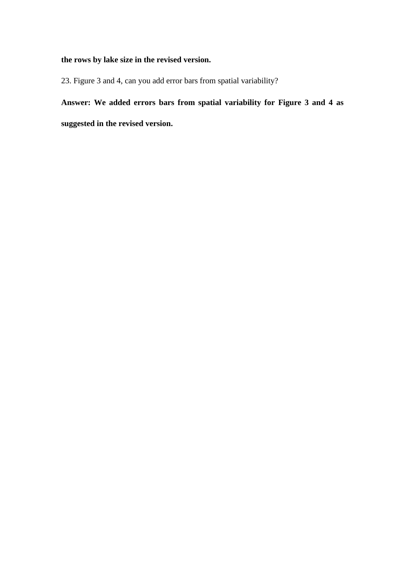### **the rows by lake size in the revised version.**

23. Figure 3 and 4, can you add error bars from spatial variability?

# **Answer: We added errors bars from spatial variability for Figure 3 and 4 as**

**suggested in the revised version.**